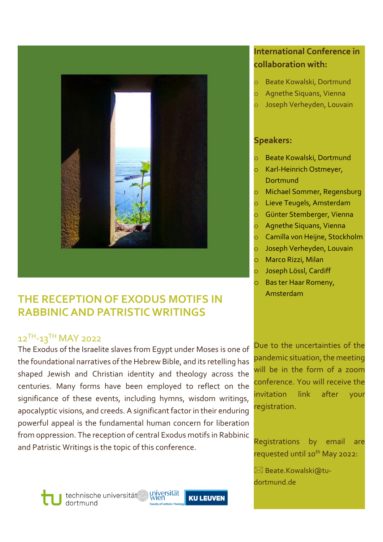

## **THE RECEPTION OF EXODUS MOTIFS IN RABBINIC AND PATRISTIC WRITINGS**

### 12TH-13TH MAY 2022

The Exodus of the Israelite slaves from Egypt under Moses is one of the foundational narratives of the Hebrew Bible, and its retelling has shaped Jewish and Christian identity and theology across the centuries. Many forms have been employed to reflect on the significance of these events, including hymns, wisdom writings, apocalyptic visions, and creeds. A significant factor in their enduring powerful appeal is the fundamental human concern for liberation from oppression. The reception of central Exodus motifs in Rabbinic and Patristic Writings is the topic of this conference.

### **International Conference in collaboration with:**

- Beate Kowalski, Dortmund
- o Agnethe Siquans, Vienna
- Joseph Verheyden, Louvain

#### **Speakers:**

- Beate Kowalski, Dortmund
- o Karl‐Heinrich Ostmeyer, Dortmund
- Michael Sommer, Regensburg
- o Lieve Teugels, Amsterdam
- o Günter Stemberger, Vienna
- o Agnethe Siquans, Vienna
- o Camilla von Heijne, Stockholm
- o Joseph Verheyden, Louvain
- o Marco Rizzi, Milan
- Joseph Lössl, Cardiff
- o Bas ter Haar Romeny, Amsterdam

Due to the uncertainties of the pandemic situation, the meeting will be in the form of a zoom conference. You will receive the invitation link after your registration.

Registrations by email are requested until 10<sup>th</sup> May 2022:

 $\boxtimes$  Beate.Kowalski@tudortmund.de

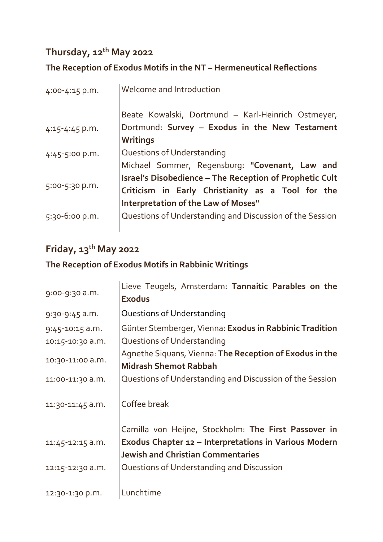## **Thursday, 12th May 2022**

## **The Reception of Exodus Motifs in the NT – Hermeneutical Reflections**

| 4:00-4:15 p.m.   | Welcome and Introduction                                                                                                                                          |
|------------------|-------------------------------------------------------------------------------------------------------------------------------------------------------------------|
| 4:15-4:45 p.m.   | Beate Kowalski, Dortmund - Karl-Heinrich Ostmeyer,<br>Dortmund: Survey - Exodus in the New Testament<br><b>Writings</b>                                           |
| $4:45-5:00 p.m.$ | Questions of Understanding<br>Michael Sommer, Regensburg: "Covenant, Law and                                                                                      |
| 5:00-5:30 p.m.   | <b>Israel's Disobedience - The Reception of Prophetic Cult</b><br>Criticism in Early Christianity as a Tool for the<br><b>Interpretation of the Law of Moses"</b> |
| 5:30-6:00 p.m.   | Questions of Understanding and Discussion of the Session                                                                                                          |

# **Friday, 13th May 2022**

## **The Reception of Exodus Motifs in Rabbinic Writings**

| 9:00-9:30 a.m.      | Lieve Teugels, Amsterdam: Tannaitic Parables on the<br><b>Exodus</b>                                                                                      |
|---------------------|-----------------------------------------------------------------------------------------------------------------------------------------------------------|
| 9:30-9:45 a.m.      | Questions of Understanding                                                                                                                                |
| $9:45 - 10:15$ a.m. | Günter Stemberger, Vienna: Exodus in Rabbinic Tradition                                                                                                   |
| 10:15-10:30 a.m.    | Questions of Understanding                                                                                                                                |
| 10:30-11:00 a.m.    | Agnethe Siquans, Vienna: The Reception of Exodus in the<br><b>Midrash Shemot Rabbah</b>                                                                   |
| 11:00-11:30 a.m.    | Questions of Understanding and Discussion of the Session                                                                                                  |
| 11:30-11:45 a.m.    | Coffee break                                                                                                                                              |
| 11:45-12:15 a.m.    | Camilla von Heijne, Stockholm: The First Passover in<br>Exodus Chapter 12 - Interpretations in Various Modern<br><b>Jewish and Christian Commentaries</b> |
| 12:15-12:30 a.m.    | Questions of Understanding and Discussion                                                                                                                 |
| 12:30-1:30 p.m.     | Lunchtime                                                                                                                                                 |